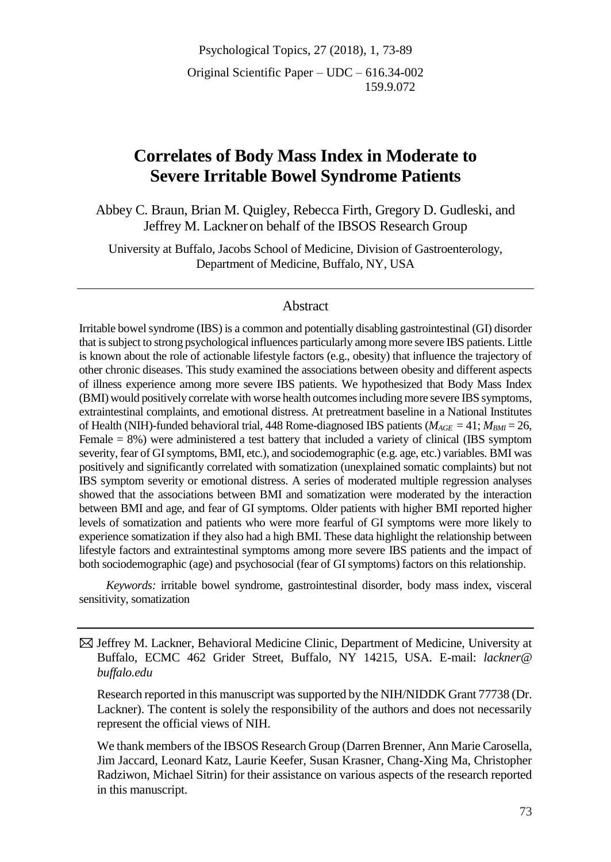Psychological Topics, 27 (2018), 1, 73-89 Original Scientific Paper – UDC – 616.34-002 159.9.072

# **Correlates of Body Mass Index in Moderate to Severe Irritable Bowel Syndrome Patients**

Abbey C. Braun, Brian M. Quigley, Rebecca Firth, Gregory D. Gudleski, and Jeffrey M. Lackner on behalf of the IBSOS Research Group

University at Buffalo, Jacobs School of Medicine, Division of Gastroenterology, Department of Medicine, Buffalo, NY, USA

#### Abstract

Irritable bowel syndrome (IBS) is a common and potentially disabling gastrointestinal (GI) disorder that is subject to strong psychological influences particularly among more severe IBS patients. Little is known about the role of actionable lifestyle factors (e.g., obesity) that influence the trajectory of other chronic diseases. This study examined the associations between obesity and different aspects of illness experience among more severe IBS patients. We hypothesized that Body Mass Index (BMI) would positively correlate with worse health outcomes including more severe IBS symptoms, extraintestinal complaints, and emotional distress. At pretreatment baseline in a National Institutes of Health (NIH)-funded behavioral trial, 448 Rome-diagnosed IBS patients (*MAGE* = 41; *MBMI* = 26, Female = 8%) were administered a test battery that included a variety of clinical (IBS symptom severity, fear of GI symptoms, BMI, etc.), and sociodemographic (e.g. age, etc.) variables. BMI was positively and significantly correlated with somatization (unexplained somatic complaints) but not IBS symptom severity or emotional distress. A series of moderated multiple regression analyses showed that the associations between BMI and somatization were moderated by the interaction between BMI and age, and fear of GI symptoms. Older patients with higher BMI reported higher levels of somatization and patients who were more fearful of GI symptoms were more likely to experience somatization if they also had a high BMI. These data highlight the relationship between lifestyle factors and extraintestinal symptoms among more severe IBS patients and the impact of both sociodemographic (age) and psychosocial (fear of GI symptoms) factors on this relationship.

*Keywords:* irritable bowel syndrome, gastrointestinal disorder, body mass index, visceral sensitivity, somatization

 Jeffrey M. Lackner, Behavioral Medicine Clinic, Department of Medicine, University at Buffalo, ECMC 462 Grider Street, Buffalo, NY 14215, USA. E-mail: *lackner@ buffalo.edu*

Research reported in this manuscript was supported by the NIH/NIDDK Grant 77738 (Dr. Lackner). The content is solely the responsibility of the authors and does not necessarily represent the official views of NIH.

We thank members of the IBSOS Research Group (Darren Brenner, Ann Marie Carosella, Jim Jaccard, Leonard Katz, Laurie Keefer, Susan Krasner, Chang-Xing Ma, Christopher Radziwon, Michael Sitrin) for their assistance on various aspects of the research reported in this manuscript.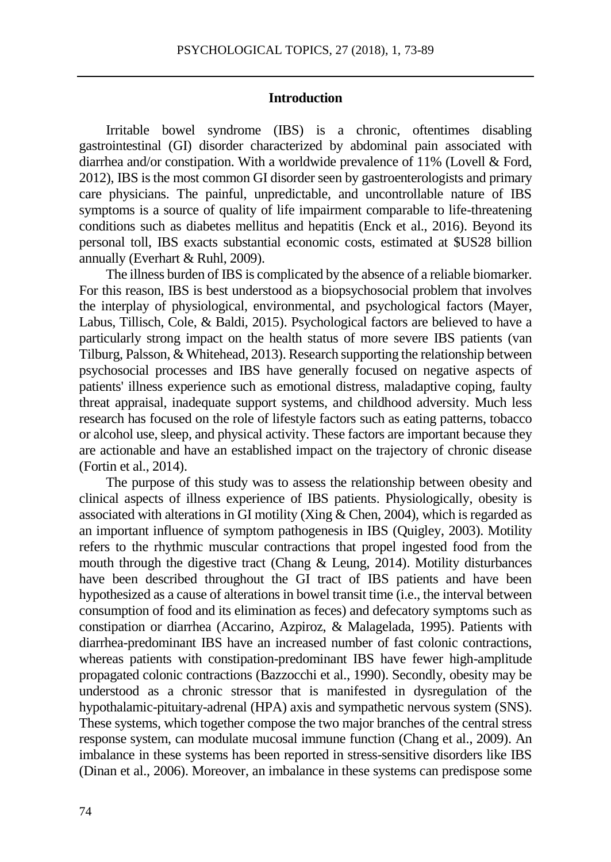# **Introduction**

Irritable bowel syndrome (IBS) is a chronic, oftentimes disabling gastrointestinal (GI) disorder characterized by abdominal pain associated with diarrhea and/or constipation. With a worldwide prevalence of 11% (Lovell & Ford, 2012), IBS is the most common GI disorder seen by gastroenterologists and primary care physicians. The painful, unpredictable, and uncontrollable nature of IBS symptoms is a source of quality of life impairment comparable to life-threatening conditions such as diabetes mellitus and hepatitis (Enck et al., 2016). Beyond its personal toll, IBS exacts substantial economic costs, estimated at \$US28 billion annually (Everhart & Ruhl, 2009).

The illness burden of IBS is complicated by the absence of a reliable biomarker. For this reason, IBS is best understood as a biopsychosocial problem that involves the interplay of physiological, environmental, and psychological factors (Mayer, Labus, Tillisch, Cole, & Baldi, 2015). Psychological factors are believed to have a particularly strong impact on the health status of more severe IBS patients (van Tilburg, Palsson, & Whitehead, 2013). Research supporting the relationship between psychosocial processes and IBS have generally focused on negative aspects of patients' illness experience such as emotional distress, maladaptive coping, faulty threat appraisal, inadequate support systems, and childhood adversity. Much less research has focused on the role of lifestyle factors such as eating patterns, tobacco or alcohol use, sleep, and physical activity. These factors are important because they are actionable and have an established impact on the trajectory of chronic disease (Fortin et al., 2014).

The purpose of this study was to assess the relationship between obesity and clinical aspects of illness experience of IBS patients. Physiologically, obesity is associated with alterations in GI motility (Xing & Chen, 2004), which is regarded as an important influence of symptom pathogenesis in IBS (Quigley, 2003). Motility refers to the rhythmic muscular contractions that propel ingested food from the mouth through the digestive tract (Chang & Leung, 2014). Motility disturbances have been described throughout the GI tract of IBS patients and have been hypothesized as a cause of alterations in bowel transit time (i.e., the interval between consumption of food and its elimination as feces) and defecatory symptoms such as constipation or diarrhea (Accarino, Azpiroz, & Malagelada, 1995). Patients with diarrhea-predominant IBS have an increased number of fast colonic contractions, whereas patients with constipation-predominant IBS have fewer high-amplitude propagated colonic contractions (Bazzocchi et al., 1990). Secondly, obesity may be understood as a chronic stressor that is manifested in dysregulation of the hypothalamic-pituitary-adrenal (HPA) axis and sympathetic nervous system (SNS). These systems, which together compose the two major branches of the central stress response system, can modulate mucosal immune function (Chang et al., 2009). An imbalance in these systems has been reported in stress-sensitive disorders like IBS (Dinan et al., 2006). Moreover, an imbalance in these systems can predispose some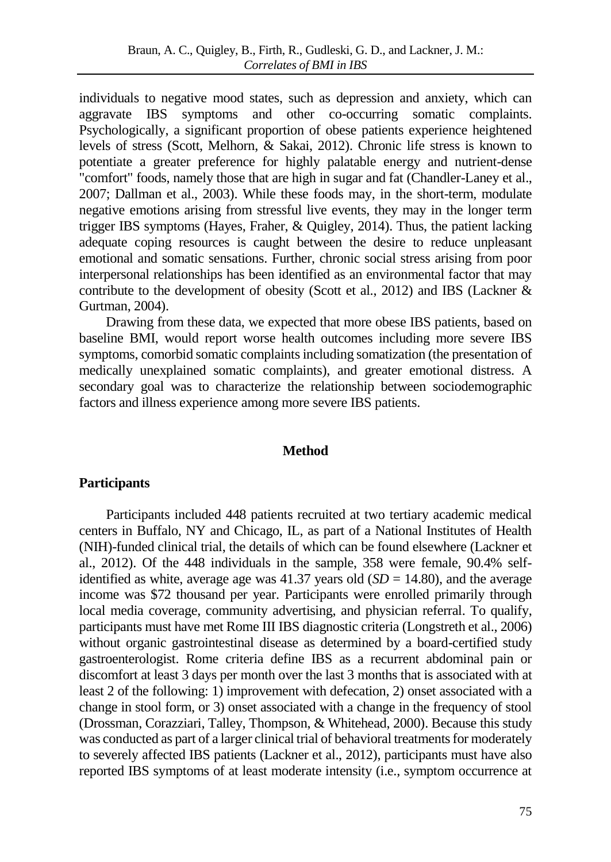individuals to negative mood states, such as depression and anxiety, which can aggravate IBS symptoms and other co-occurring somatic complaints. Psychologically, a significant proportion of obese patients experience heightened levels of stress (Scott, Melhorn, & Sakai, 2012). Chronic life stress is known to potentiate a greater preference for highly palatable energy and nutrient-dense "comfort" foods, namely those that are high in sugar and fat (Chandler-Laney et al., 2007; Dallman et al., 2003). While these foods may, in the short-term, modulate negative emotions arising from stressful live events, they may in the longer term trigger IBS symptoms (Hayes, Fraher, & Quigley, 2014). Thus, the patient lacking adequate coping resources is caught between the desire to reduce unpleasant emotional and somatic sensations. Further, chronic social stress arising from poor interpersonal relationships has been identified as an environmental factor that may contribute to the development of obesity (Scott et al., 2012) and IBS (Lackner  $\&$ Gurtman, 2004).

Drawing from these data, we expected that more obese IBS patients, based on baseline BMI, would report worse health outcomes including more severe IBS symptoms, comorbid somatic complaints including somatization (the presentation of medically unexplained somatic complaints), and greater emotional distress. A secondary goal was to characterize the relationship between sociodemographic factors and illness experience among more severe IBS patients.

# **Method**

# **Participants**

Participants included 448 patients recruited at two tertiary academic medical centers in Buffalo, NY and Chicago, IL, as part of a National Institutes of Health (NIH)-funded clinical trial, the details of which can be found elsewhere (Lackner et al., 2012). Of the 448 individuals in the sample, 358 were female, 90.4% selfidentified as white, average age was  $41.37$  years old  $(SD = 14.80)$ , and the average income was \$72 thousand per year. Participants were enrolled primarily through local media coverage, community advertising, and physician referral. To qualify, participants must have met Rome III IBS diagnostic criteria (Longstreth et al., 2006) without organic gastrointestinal disease as determined by a board-certified study gastroenterologist. Rome criteria define IBS as a recurrent abdominal pain or discomfort at least 3 days per month over the last 3 months that is associated with at least 2 of the following: 1) improvement with defecation, 2) onset associated with a change in stool form, or 3) onset associated with a change in the frequency of stool (Drossman, Corazziari, Talley, Thompson, & Whitehead, 2000). Because this study was conducted as part of a larger clinical trial of behavioral treatments for moderately to severely affected IBS patients (Lackner et al., 2012), participants must have also reported IBS symptoms of at least moderate intensity (i.e., symptom occurrence at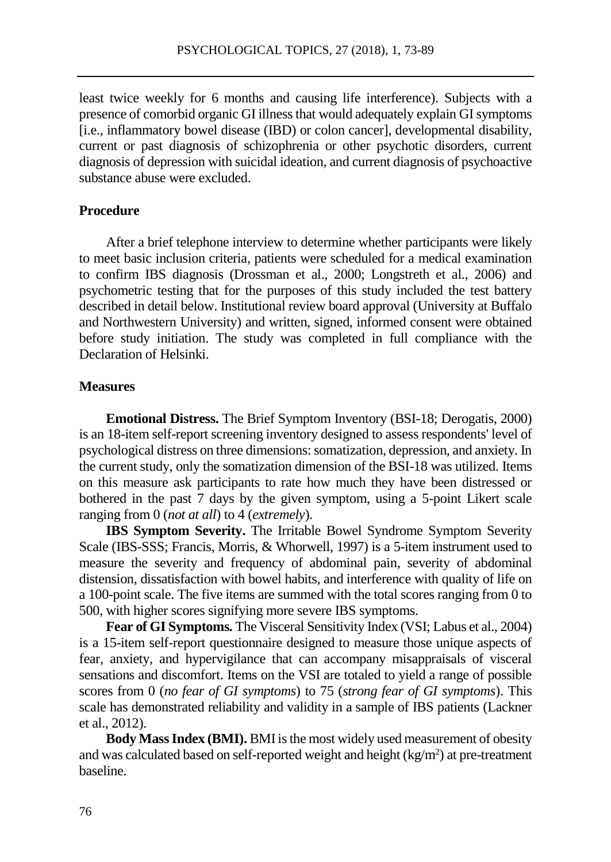least twice weekly for 6 months and causing life interference). Subjects with a presence of comorbid organic GI illness that would adequately explain GI symptoms [i.e., inflammatory bowel disease (IBD) or colon cancer], developmental disability, current or past diagnosis of schizophrenia or other psychotic disorders, current diagnosis of depression with suicidal ideation, and current diagnosis of psychoactive substance abuse were excluded.

# **Procedure**

After a brief telephone interview to determine whether participants were likely to meet basic inclusion criteria, patients were scheduled for a medical examination to confirm IBS diagnosis (Drossman et al., 2000; Longstreth et al., 2006) and psychometric testing that for the purposes of this study included the test battery described in detail below. Institutional review board approval (University at Buffalo and Northwestern University) and written, signed, informed consent were obtained before study initiation. The study was completed in full compliance with the Declaration of Helsinki.

# **Measures**

**Emotional Distress.** The Brief Symptom Inventory (BSI-18; Derogatis, 2000) is an 18-item self-report screening inventory designed to assess respondents' level of psychological distress on three dimensions: somatization, depression, and anxiety. In the current study, only the somatization dimension of the BSI-18 was utilized. Items on this measure ask participants to rate how much they have been distressed or bothered in the past 7 days by the given symptom, using a 5-point Likert scale ranging from 0 (*not at all*) to 4 (*extremely*).

**IBS Symptom Severity.** The Irritable Bowel Syndrome Symptom Severity Scale (IBS-SSS; Francis, Morris, & Whorwell, 1997) is a 5-item instrument used to measure the severity and frequency of abdominal pain, severity of abdominal distension, dissatisfaction with bowel habits, and interference with quality of life on a 100-point scale. The five items are summed with the total scores ranging from 0 to 500, with higher scores signifying more severe IBS symptoms.

**Fear of GI Symptoms***.* The Visceral Sensitivity Index (VSI; Labus et al., 2004) is a 15-item self-report questionnaire designed to measure those unique aspects of fear, anxiety, and hypervigilance that can accompany misappraisals of visceral sensations and discomfort. Items on the VSI are totaled to yield a range of possible scores from 0 (*no fear of GI symptoms*) to 75 (*strong fear of GI symptoms*). This scale has demonstrated reliability and validity in a sample of IBS patients (Lackner et al., 2012).

**Body Mass Index (BMI).** BMI is the most widely used measurement of obesity and was calculated based on self-reported weight and height  $(kg/m<sup>2</sup>)$  at pre-treatment baseline.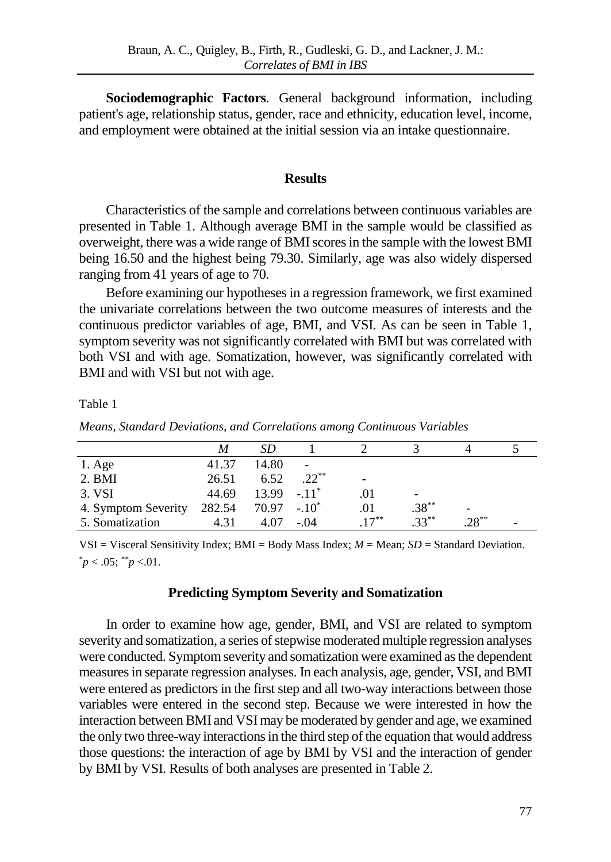**Sociodemographic Factors***.* General background information, including patient's age, relationship status, gender, race and ethnicity, education level, income, and employment were obtained at the initial session via an intake questionnaire.

## **Results**

Characteristics of the sample and correlations between continuous variables are presented in Table 1. Although average BMI in the sample would be classified as overweight, there was a wide range of BMI scores in the sample with the lowest BMI being 16.50 and the highest being 79.30. Similarly, age was also widely dispersed ranging from 41 years of age to 70.

Before examining our hypotheses in a regression framework, we first examined the univariate correlations between the two outcome measures of interests and the continuous predictor variables of age, BMI, and VSI. As can be seen in Table 1, symptom severity was not significantly correlated with BMI but was correlated with both VSI and with age. Somatization, however, was significantly correlated with BMI and with VSI but not with age.

Table 1

| Means, Standard Deviations, and Correlations among Continuous Variables |  |  |  |  |  |
|-------------------------------------------------------------------------|--|--|--|--|--|
|-------------------------------------------------------------------------|--|--|--|--|--|

|                     |        | SD             |          |         |           |           |   |
|---------------------|--------|----------------|----------|---------|-----------|-----------|---|
| $1. \text{Age}$     | 41.37  | 14.80          |          |         |           |           |   |
| 2. <b>BMI</b>       | 26.51  | 6.52           | $.22***$ |         |           |           |   |
| 3. VSI              | 44.69  | $13.99 - 11^*$ |          |         | -         |           |   |
| 4. Symptom Severity | 282.54 | $70.97 - 10^*$ |          |         | $.38***$  |           |   |
| 5. Somatization     | 4.31   | 4.07           | $-.04$   | $17***$ | $33^{**}$ | $28^{**}$ | - |

VSI = Visceral Sensitivity Index; BMI = Body Mass Index; *M* = Mean; *SD* = Standard Deviation.  $p < .05$ ;  $p < .01$ .

#### **Predicting Symptom Severity and Somatization**

In order to examine how age, gender, BMI, and VSI are related to symptom severity and somatization, a series of stepwise moderated multiple regression analyses were conducted. Symptom severity and somatization were examined as the dependent measures in separate regression analyses. In each analysis, age, gender, VSI, and BMI were entered as predictors in the first step and all two-way interactions between those variables were entered in the second step. Because we were interested in how the interaction between BMI and VSI may be moderated by gender and age, we examined the only two three-way interactions in the third step of the equation that would address those questions: the interaction of age by BMI by VSI and the interaction of gender by BMI by VSI. Results of both analyses are presented in Table 2.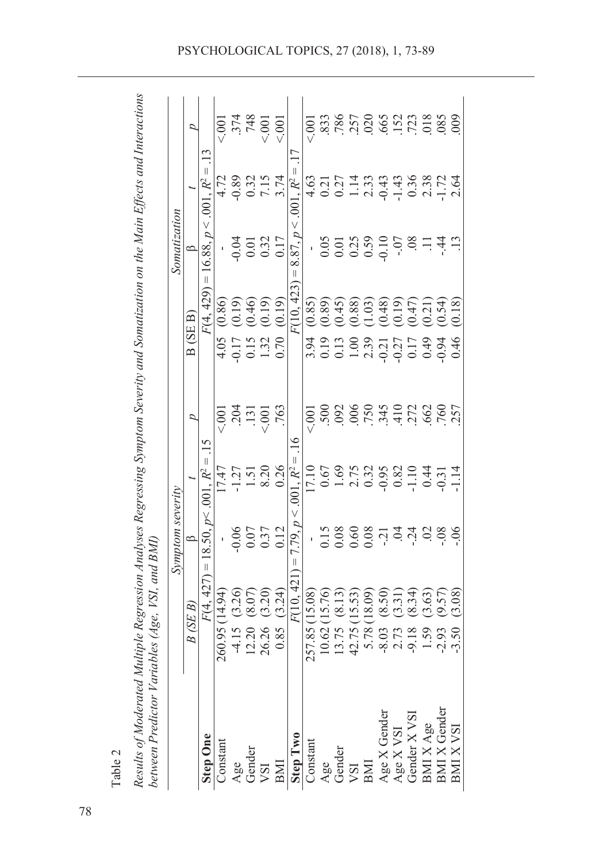| Table 2 | ultiple Regression Analyses Regressing Symptom Severity and Somatization on the Main Effects and Interactions<br>vbles (Age, VSI, and BMI)<br>etween Predictor Variau<br>esults of Moderated Mt. |
|---------|--------------------------------------------------------------------------------------------------------------------------------------------------------------------------------------------------|
|         |                                                                                                                                                                                                  |

| 336578983783<br>748<br>p<br>Ļ<br>$\frac{13}{2}$<br>$\parallel$<br>Ш<br>$-0.89$<br>0.32<br>$7.15$<br>3.74<br>R <sup>2</sup><br>4.72<br>4.63<br>2.64<br>$R^2$<br>.001<br>$\overline{0}$<br>$\vee$<br>V<br>16.88, p<br>p<br>$0.32$<br>$0.17$<br>0.05<br>$0.01$<br>$0.25$<br>$0.59$<br>$0.10$<br>$-0$ .<br>$-0.04$<br>$\overline{0}$<br>$-44$<br>0.01<br>득<br>8.87,<br>≏<br>$\mathsf{I}$<br>$\mid \mid$<br>F(10.423<br>F(4, 429)<br>(0.46)<br>(0.19)<br>(0.19)<br>(0.89)<br>(0.19)<br>$(1.03)$<br>$(0.48)$<br>(0.18)<br>(0.86)<br>(0.85)<br>$(0.45)$<br>$(0.88)$<br>(0.19)<br>(0.54)<br>$(0.47)$<br>$(0.21)$<br>B(SE B)<br>1.32<br>4.05<br>$3,919$ $0.13$ $0.03$ $0.33$ $0.03$ $0.03$<br>$-0.17$<br>0.15<br>0.17<br>0.49<br>$-0.27$<br>0.46<br>$-0.94$<br>.006<br>$.750$<br>345<br>410<br>272<br>.131<br>.763<br>500.0<br>.662<br>.760<br>257<br>$-0.001$<br>< 001<br>500<br>D<br>७<br>15<br>Ш<br>$R^2 =$<br>$1.69$<br>$2.75$<br>0.32<br>8.20<br>0.26<br>0.67<br>0.82<br>$-1.27$<br>$-1.10$<br>0.44<br>$R^2$<br>17.10<br>17.47<br>1.51<br>$-0.31$<br>$\overline{5}$<br>18.50, p < .001<br>V<br>n<br>$-0.06$<br>$0.07$<br>0.37<br>158000000000000<br>0.12<br>$\frac{8}{10}$<br>$\widetilde{\infty}$<br>7.79,<br>$\parallel$<br>Ш<br>427)<br>F(10, 421<br>(3.26)<br>(3.20)<br>(8.07)<br>(8.50)<br>(3.24)<br>(15.08)<br>(15.76)<br>(3.08)<br>(8.13)<br>260.95 (14.94)<br>15.53)<br>(18.09)<br>(8.34)<br>(3.63)<br>(9.57)<br>(3.31)<br>F(4.<br>B(SEB)<br>26.26<br>257.85<br>10.62<br>5.78<br>$-4.15$<br>42.75<br>12.20<br>13.75<br>0.85<br>$-8.03$<br>2.73<br>$-9.18$<br>$-2.93$<br>$-3.50$<br>1.59<br><b>BMI X Gender</b><br>$\begin{array}{c}\mathrm{Age\,X\,Gender} \\ \mathrm{Age\,X\,VSI}\end{array}$<br>Gender $X$ VSI<br>BMI X Age<br><b>BMI X VSI</b><br>Step Two<br><b>Step One</b><br>Constant<br>Constant<br>Gender<br>VSI<br>Age<br>Gender<br>Age<br>BMI<br>BMI<br><b>ISA</b> |  | Symptom severity |  | Somatization |        |
|-----------------------------------------------------------------------------------------------------------------------------------------------------------------------------------------------------------------------------------------------------------------------------------------------------------------------------------------------------------------------------------------------------------------------------------------------------------------------------------------------------------------------------------------------------------------------------------------------------------------------------------------------------------------------------------------------------------------------------------------------------------------------------------------------------------------------------------------------------------------------------------------------------------------------------------------------------------------------------------------------------------------------------------------------------------------------------------------------------------------------------------------------------------------------------------------------------------------------------------------------------------------------------------------------------------------------------------------------------------------------------------------------------------------------------------------------------------------------------------------------------------------------------------------------------------------------------------------------------------------------------------------------------------------------------------------------------------------------------------------------------------------------------------------------------------------------------------------------------------------------------------|--|------------------|--|--------------|--------|
|                                                                                                                                                                                                                                                                                                                                                                                                                                                                                                                                                                                                                                                                                                                                                                                                                                                                                                                                                                                                                                                                                                                                                                                                                                                                                                                                                                                                                                                                                                                                                                                                                                                                                                                                                                                                                                                                                   |  |                  |  |              |        |
|                                                                                                                                                                                                                                                                                                                                                                                                                                                                                                                                                                                                                                                                                                                                                                                                                                                                                                                                                                                                                                                                                                                                                                                                                                                                                                                                                                                                                                                                                                                                                                                                                                                                                                                                                                                                                                                                                   |  |                  |  |              |        |
|                                                                                                                                                                                                                                                                                                                                                                                                                                                                                                                                                                                                                                                                                                                                                                                                                                                                                                                                                                                                                                                                                                                                                                                                                                                                                                                                                                                                                                                                                                                                                                                                                                                                                                                                                                                                                                                                                   |  |                  |  |              | 500    |
|                                                                                                                                                                                                                                                                                                                                                                                                                                                                                                                                                                                                                                                                                                                                                                                                                                                                                                                                                                                                                                                                                                                                                                                                                                                                                                                                                                                                                                                                                                                                                                                                                                                                                                                                                                                                                                                                                   |  |                  |  |              |        |
|                                                                                                                                                                                                                                                                                                                                                                                                                                                                                                                                                                                                                                                                                                                                                                                                                                                                                                                                                                                                                                                                                                                                                                                                                                                                                                                                                                                                                                                                                                                                                                                                                                                                                                                                                                                                                                                                                   |  |                  |  |              |        |
|                                                                                                                                                                                                                                                                                                                                                                                                                                                                                                                                                                                                                                                                                                                                                                                                                                                                                                                                                                                                                                                                                                                                                                                                                                                                                                                                                                                                                                                                                                                                                                                                                                                                                                                                                                                                                                                                                   |  |                  |  |              | 5001   |
|                                                                                                                                                                                                                                                                                                                                                                                                                                                                                                                                                                                                                                                                                                                                                                                                                                                                                                                                                                                                                                                                                                                                                                                                                                                                                                                                                                                                                                                                                                                                                                                                                                                                                                                                                                                                                                                                                   |  |                  |  |              | < 001  |
|                                                                                                                                                                                                                                                                                                                                                                                                                                                                                                                                                                                                                                                                                                                                                                                                                                                                                                                                                                                                                                                                                                                                                                                                                                                                                                                                                                                                                                                                                                                                                                                                                                                                                                                                                                                                                                                                                   |  |                  |  |              |        |
|                                                                                                                                                                                                                                                                                                                                                                                                                                                                                                                                                                                                                                                                                                                                                                                                                                                                                                                                                                                                                                                                                                                                                                                                                                                                                                                                                                                                                                                                                                                                                                                                                                                                                                                                                                                                                                                                                   |  |                  |  |              | $-001$ |
|                                                                                                                                                                                                                                                                                                                                                                                                                                                                                                                                                                                                                                                                                                                                                                                                                                                                                                                                                                                                                                                                                                                                                                                                                                                                                                                                                                                                                                                                                                                                                                                                                                                                                                                                                                                                                                                                                   |  |                  |  |              |        |
|                                                                                                                                                                                                                                                                                                                                                                                                                                                                                                                                                                                                                                                                                                                                                                                                                                                                                                                                                                                                                                                                                                                                                                                                                                                                                                                                                                                                                                                                                                                                                                                                                                                                                                                                                                                                                                                                                   |  |                  |  |              |        |
|                                                                                                                                                                                                                                                                                                                                                                                                                                                                                                                                                                                                                                                                                                                                                                                                                                                                                                                                                                                                                                                                                                                                                                                                                                                                                                                                                                                                                                                                                                                                                                                                                                                                                                                                                                                                                                                                                   |  |                  |  |              |        |
|                                                                                                                                                                                                                                                                                                                                                                                                                                                                                                                                                                                                                                                                                                                                                                                                                                                                                                                                                                                                                                                                                                                                                                                                                                                                                                                                                                                                                                                                                                                                                                                                                                                                                                                                                                                                                                                                                   |  |                  |  |              |        |
|                                                                                                                                                                                                                                                                                                                                                                                                                                                                                                                                                                                                                                                                                                                                                                                                                                                                                                                                                                                                                                                                                                                                                                                                                                                                                                                                                                                                                                                                                                                                                                                                                                                                                                                                                                                                                                                                                   |  |                  |  |              |        |
|                                                                                                                                                                                                                                                                                                                                                                                                                                                                                                                                                                                                                                                                                                                                                                                                                                                                                                                                                                                                                                                                                                                                                                                                                                                                                                                                                                                                                                                                                                                                                                                                                                                                                                                                                                                                                                                                                   |  |                  |  |              |        |
|                                                                                                                                                                                                                                                                                                                                                                                                                                                                                                                                                                                                                                                                                                                                                                                                                                                                                                                                                                                                                                                                                                                                                                                                                                                                                                                                                                                                                                                                                                                                                                                                                                                                                                                                                                                                                                                                                   |  |                  |  |              |        |
|                                                                                                                                                                                                                                                                                                                                                                                                                                                                                                                                                                                                                                                                                                                                                                                                                                                                                                                                                                                                                                                                                                                                                                                                                                                                                                                                                                                                                                                                                                                                                                                                                                                                                                                                                                                                                                                                                   |  |                  |  |              |        |
|                                                                                                                                                                                                                                                                                                                                                                                                                                                                                                                                                                                                                                                                                                                                                                                                                                                                                                                                                                                                                                                                                                                                                                                                                                                                                                                                                                                                                                                                                                                                                                                                                                                                                                                                                                                                                                                                                   |  |                  |  |              | .085   |
|                                                                                                                                                                                                                                                                                                                                                                                                                                                                                                                                                                                                                                                                                                                                                                                                                                                                                                                                                                                                                                                                                                                                                                                                                                                                                                                                                                                                                                                                                                                                                                                                                                                                                                                                                                                                                                                                                   |  |                  |  |              | 009    |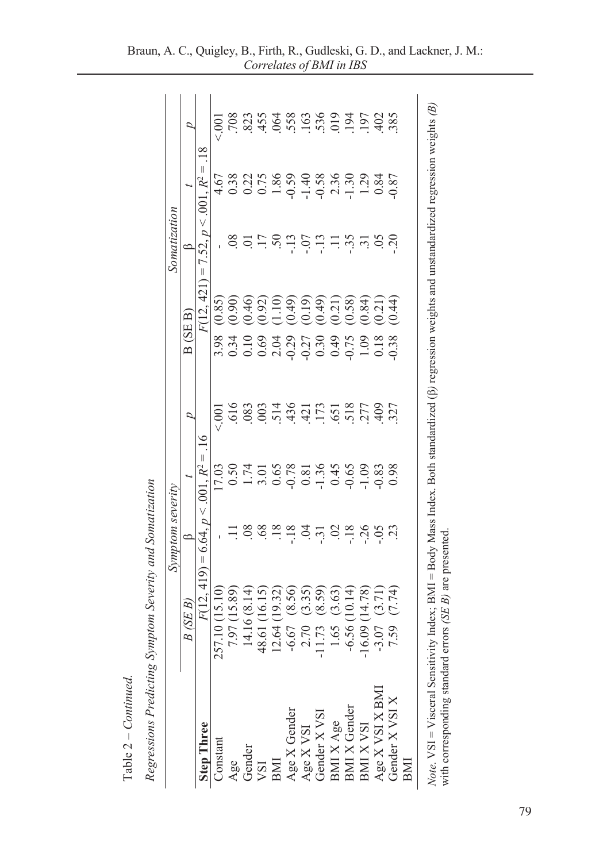|                                                                                                                                                                                                                                                             |                    | Symptom severity                    |                                                                                                                           |                   |                                                                                                                                                                                                                                                                                                               |                                  | Somatization         |                                                                                              |                                                                                                                                                                                                                                                                                 |
|-------------------------------------------------------------------------------------------------------------------------------------------------------------------------------------------------------------------------------------------------------------|--------------------|-------------------------------------|---------------------------------------------------------------------------------------------------------------------------|-------------------|---------------------------------------------------------------------------------------------------------------------------------------------------------------------------------------------------------------------------------------------------------------------------------------------------------------|----------------------------------|----------------------|----------------------------------------------------------------------------------------------|---------------------------------------------------------------------------------------------------------------------------------------------------------------------------------------------------------------------------------------------------------------------------------|
|                                                                                                                                                                                                                                                             | R<br>(SE<br>B      | ≏                                   |                                                                                                                           | ₽                 | (SE B)<br>$\mathbf{D}$                                                                                                                                                                                                                                                                                        |                                  | ≏                    |                                                                                              | ₽                                                                                                                                                                                                                                                                               |
| <b>Step Three</b>                                                                                                                                                                                                                                           | F(12, 419)         | $\vee$<br>D<br>6.64.<br>$\parallel$ | $R^2 =$<br>001                                                                                                            | $\overline{16}$   |                                                                                                                                                                                                                                                                                                               | $\left  {}\right $<br>F(12, 421) | $\vee$<br>52, p<br>Γ | $\parallel$<br>$R^2$<br>001                                                                  | $\frac{8}{18}$                                                                                                                                                                                                                                                                  |
| Constant                                                                                                                                                                                                                                                    | 257.10 (15.10)     |                                     | 17.03                                                                                                                     | $\overline{00}$   | 3.98                                                                                                                                                                                                                                                                                                          | (0.85)                           |                      | 4.67                                                                                         | $\overline{0}$                                                                                                                                                                                                                                                                  |
|                                                                                                                                                                                                                                                             | (15.89)<br>7.97    | $\Xi$                               | 0.50                                                                                                                      |                   |                                                                                                                                                                                                                                                                                                               | (0.90)                           |                      | 0.38                                                                                         |                                                                                                                                                                                                                                                                                 |
| $\frac{\text{Age}}{\text{Gender}}$                                                                                                                                                                                                                          | 14.16 (8.14)       | 08                                  | 1.74                                                                                                                      | $\frac{616}{083}$ | $0.34$<br>0.10                                                                                                                                                                                                                                                                                                | (0.46)                           |                      | 0.22                                                                                         |                                                                                                                                                                                                                                                                                 |
|                                                                                                                                                                                                                                                             | 48.61 (16.15)      |                                     |                                                                                                                           |                   | 0.69                                                                                                                                                                                                                                                                                                          | (0.92)                           |                      |                                                                                              |                                                                                                                                                                                                                                                                                 |
| BMI                                                                                                                                                                                                                                                         | (19.32)<br>12.64   |                                     |                                                                                                                           |                   |                                                                                                                                                                                                                                                                                                               | (1.10)                           |                      |                                                                                              |                                                                                                                                                                                                                                                                                 |
|                                                                                                                                                                                                                                                             | (8.56)<br>$-6.67$  |                                     |                                                                                                                           |                   |                                                                                                                                                                                                                                                                                                               | (0.49)                           |                      |                                                                                              |                                                                                                                                                                                                                                                                                 |
|                                                                                                                                                                                                                                                             | (3.35)<br>2.70     |                                     |                                                                                                                           |                   |                                                                                                                                                                                                                                                                                                               | (0.19)                           |                      |                                                                                              |                                                                                                                                                                                                                                                                                 |
| $\begin{array}{l} \text{Age X Gender} \\ \text{Age X VSI} \\ \text{Gender X VSI} \\ \text{BMI X Age} \\ \text{BMI X Gender} \\ \text{BMI X VSH} \\ \text{MIX VSI} \\ \text{A ge} \\ \text{A ge} \\ \text{A ge} \\ \text{A ya} \\ \text{BMI} \\ \end{array}$ | (8.59)<br>11.73    |                                     | $\begin{array}{c} 3.01 \\ 0.65 \\ 0.78 \\ 0.81 \\ 0.45 \\ 0.09 \\ -1.36 \\ 0.09 \\ -1.36 \\ 0.09 \\ -1.08 \\ \end{array}$ |                   | $\begin{array}{c} 2.04 \\ 0.29 \\ 0.30 \\ 0.40 \\ 0.50 \\ 0.60 \\ 0.70 \\ 0.80 \\ 0.70 \\ 0.80 \\ 0.80 \\ 0.80 \\ 0.18 \\ 0.18 \\ 0.18 \\ 0.18 \\ 0.18 \\ 0.18 \\ 0.18 \\ 0.18 \\ 0.18 \\ 0.18 \\ 0.18 \\ 0.18 \\ 0.18 \\ 0.18 \\ 0.18 \\ 0.18 \\ 0.18 \\ 0.18 \\ 0.18 \\ 0.18 \\ 0.18 \\ 0.18 \\ 0.18 \\ 0.$ | (0.49)                           | 8555999999999999999  | $\begin{array}{c} 1.86 \\ -0.59 \\ -1.49 \\ -0.59 \\ -1.30 \\ -1.30 \\ -1.29 \\ \end{array}$ | $\begin{array}{cccccc}\n7.83 & 7.83 & 7.83 & 7.83 & 7.83 & 7.83 & 7.83 & 7.83 & 7.83 & 7.83 & 7.83 & 7.84 & 7.85 & 7.86 & 7.86 & 7.86 & 7.86 & 7.86 & 7.86 & 7.86 & 7.86 & 7.86 & 7.86 & 7.86 & 7.86 & 7.86 & 7.86 & 7.86 & 7.86 & 7.86 & 7.86 & 7.86 & 7.86 & 7.86 & 7.86 & 7$ |
|                                                                                                                                                                                                                                                             | (3.63)<br>1.65     |                                     |                                                                                                                           |                   |                                                                                                                                                                                                                                                                                                               | (0.21)                           |                      |                                                                                              |                                                                                                                                                                                                                                                                                 |
|                                                                                                                                                                                                                                                             | (10.14)<br>$-6.56$ |                                     |                                                                                                                           |                   |                                                                                                                                                                                                                                                                                                               | (0.58)                           |                      |                                                                                              |                                                                                                                                                                                                                                                                                 |
|                                                                                                                                                                                                                                                             | (14.78)<br>16.09   |                                     |                                                                                                                           |                   |                                                                                                                                                                                                                                                                                                               | (0.84)                           |                      |                                                                                              |                                                                                                                                                                                                                                                                                 |
|                                                                                                                                                                                                                                                             | (3.71)<br>$-3.07$  |                                     |                                                                                                                           | 409<br>327        |                                                                                                                                                                                                                                                                                                               | (0.21)                           |                      | 0.84                                                                                         |                                                                                                                                                                                                                                                                                 |
| Gender X VSI X<br>BMI                                                                                                                                                                                                                                       | (7.74)<br>7.59     |                                     | 0.98                                                                                                                      |                   | 0.38                                                                                                                                                                                                                                                                                                          | (0.44)                           |                      | $-0.87$                                                                                      |                                                                                                                                                                                                                                                                                 |

|                 | l |
|-----------------|---|
|                 |   |
|                 |   |
|                 | ζ |
|                 |   |
|                 |   |
| <i>ontinued</i> | ſ |
| I               |   |
| C               |   |
| able            |   |
|                 |   |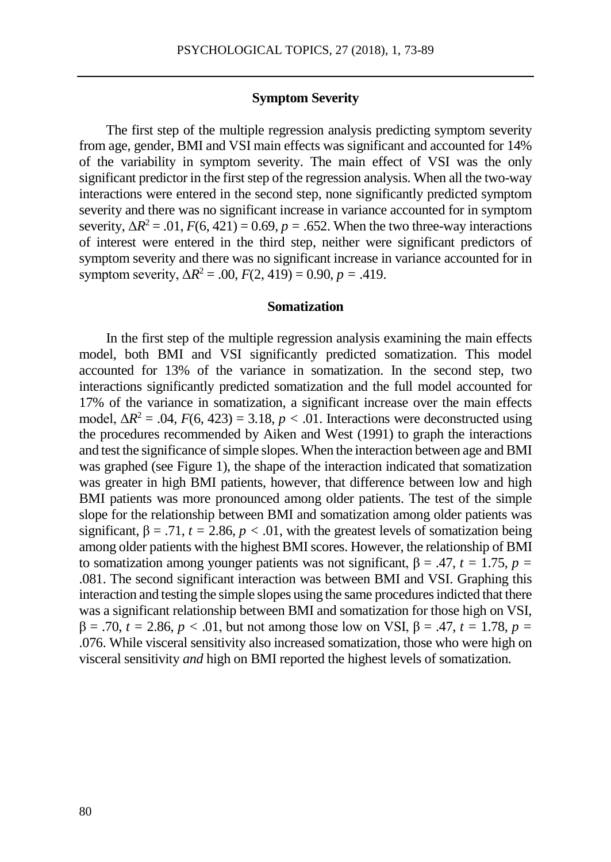# **Symptom Severity**

The first step of the multiple regression analysis predicting symptom severity from age, gender, BMI and VSI main effects was significant and accounted for 14% of the variability in symptom severity. The main effect of VSI was the only significant predictor in the first step of the regression analysis. When all the two-way interactions were entered in the second step, none significantly predicted symptom severity and there was no significant increase in variance accounted for in symptom severity,  $\Delta R^2 = .01$ ,  $F(6, 421) = 0.69$ ,  $p = .652$ . When the two three-way interactions of interest were entered in the third step, neither were significant predictors of symptom severity and there was no significant increase in variance accounted for in symptom severity,  $\Delta R^2 = .00$ ,  $F(2, 419) = 0.90$ ,  $p = .419$ .

#### **Somatization**

In the first step of the multiple regression analysis examining the main effects model, both BMI and VSI significantly predicted somatization. This model accounted for 13% of the variance in somatization. In the second step, two interactions significantly predicted somatization and the full model accounted for 17% of the variance in somatization, a significant increase over the main effects model,  $\Delta R^2 = .04$ ,  $F(6, 423) = 3.18$ ,  $p < .01$ . Interactions were deconstructed using the procedures recommended by Aiken and West (1991) to graph the interactions and test the significance of simple slopes. When the interaction between age and BMI was graphed (see Figure 1), the shape of the interaction indicated that somatization was greater in high BMI patients, however, that difference between low and high BMI patients was more pronounced among older patients. The test of the simple slope for the relationship between BMI and somatization among older patients was significant,  $\beta = .71$ ,  $t = 2.86$ ,  $p < .01$ , with the greatest levels of somatization being among older patients with the highest BMI scores. However, the relationship of BMI to somatization among younger patients was not significant,  $\beta = .47$ ,  $t = 1.75$ ,  $p =$ .081. The second significant interaction was between BMI and VSI. Graphing this interaction and testing the simple slopes using the same proceduresindicted that there was a significant relationship between BMI and somatization for those high on VSI,  $β = .70$ ,  $t = 2.86$ ,  $p < .01$ , but not among those low on VSI,  $β = .47$ ,  $t = 1.78$ ,  $p =$ .076. While visceral sensitivity also increased somatization, those who were high on visceral sensitivity *and* high on BMI reported the highest levels of somatization.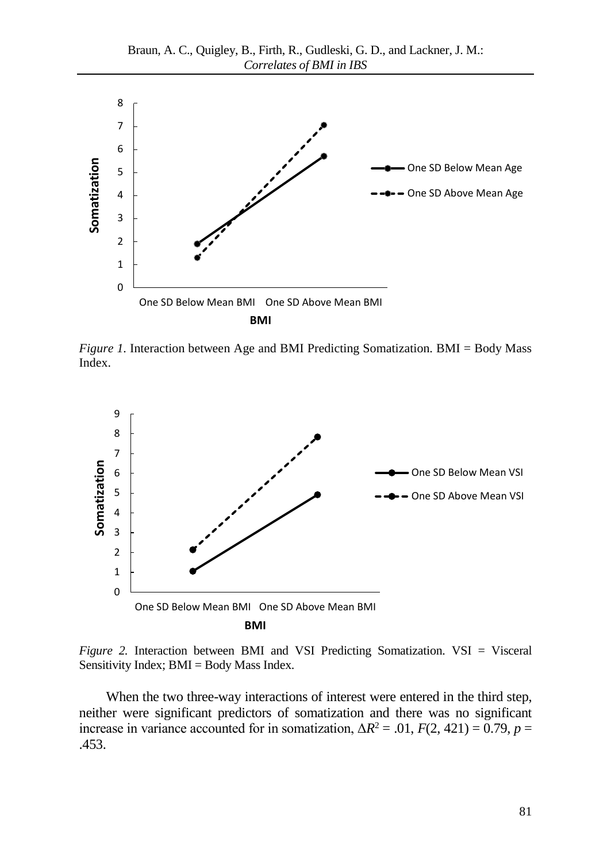

*Figure 1.* Interaction between Age and BMI Predicting Somatization. BMI = Body Mass Index.



*Figure 2.* Interaction between BMI and VSI Predicting Somatization. VSI = Visceral Sensitivity Index; BMI = Body Mass Index.

When the two three-way interactions of interest were entered in the third step, neither were significant predictors of somatization and there was no significant increase in variance accounted for in somatization,  $\Delta R^2 = .01$ ,  $F(2, 421) = 0.79$ ,  $p =$ .453.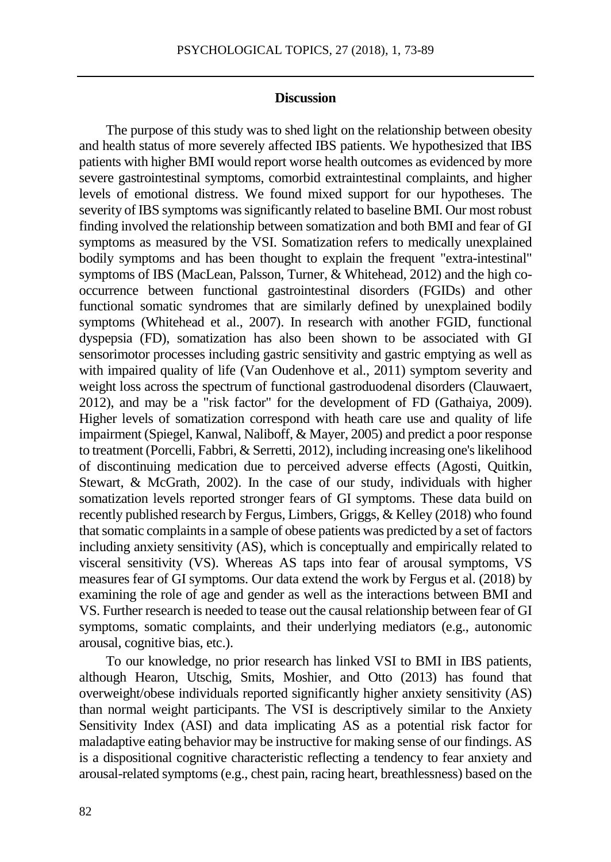# **Discussion**

The purpose of this study was to shed light on the relationship between obesity and health status of more severely affected IBS patients. We hypothesized that IBS patients with higher BMI would report worse health outcomes as evidenced by more severe gastrointestinal symptoms, comorbid extraintestinal complaints, and higher levels of emotional distress. We found mixed support for our hypotheses. The severity of IBS symptoms was significantly related to baseline BMI. Our most robust finding involved the relationship between somatization and both BMI and fear of GI symptoms as measured by the VSI. Somatization refers to medically unexplained bodily symptoms and has been thought to explain the frequent "extra-intestinal" symptoms of IBS (MacLean, Palsson, Turner, & Whitehead, 2012) and the high cooccurrence between functional gastrointestinal disorders (FGIDs) and other functional somatic syndromes that are similarly defined by unexplained bodily symptoms (Whitehead et al., 2007). In research with another FGID, functional dyspepsia (FD), somatization has also been shown to be associated with GI sensorimotor processes including gastric sensitivity and gastric emptying as well as with impaired quality of life (Van Oudenhove et al., 2011) symptom severity and weight loss across the spectrum of functional gastroduodenal disorders (Clauwaert, 2012), and may be a "risk factor" for the development of FD (Gathaiya, 2009). Higher levels of somatization correspond with heath care use and quality of life impairment (Spiegel, Kanwal, Naliboff, & Mayer, 2005) and predict a poor response to treatment (Porcelli, Fabbri, & Serretti, 2012), including increasing one's likelihood of discontinuing medication due to perceived adverse effects (Agosti, Quitkin, Stewart, & McGrath, 2002). In the case of our study, individuals with higher somatization levels reported stronger fears of GI symptoms. These data build on recently published research by Fergus, Limbers, Griggs, & Kelley (2018) who found that somatic complaints in a sample of obese patients was predicted by a set of factors including anxiety sensitivity (AS), which is conceptually and empirically related to visceral sensitivity (VS). Whereas AS taps into fear of arousal symptoms, VS measures fear of GI symptoms. Our data extend the work by Fergus et al. (2018) by examining the role of age and gender as well as the interactions between BMI and VS. Further research is needed to tease out the causal relationship between fear of GI symptoms, somatic complaints, and their underlying mediators (e.g., autonomic arousal, cognitive bias, etc.).

To our knowledge, no prior research has linked VSI to BMI in IBS patients, although Hearon, Utschig, Smits, Moshier, and Otto (2013) has found that overweight/obese individuals reported significantly higher anxiety sensitivity (AS) than normal weight participants. The VSI is descriptively similar to the Anxiety Sensitivity Index (ASI) and data implicating AS as a potential risk factor for maladaptive eating behavior may be instructive for making sense of our findings. AS is a dispositional cognitive characteristic reflecting a tendency to fear anxiety and arousal-related symptoms (e.g., chest pain, racing heart, breathlessness) based on the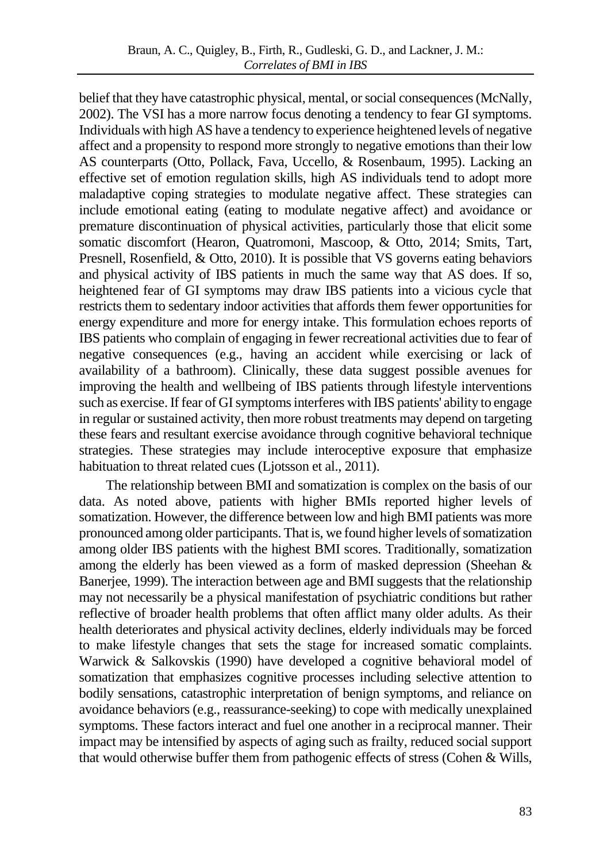belief that they have catastrophic physical, mental, or social consequences (McNally, 2002). The VSI has a more narrow focus denoting a tendency to fear GI symptoms. Individuals with high AS have a tendency to experience heightened levels of negative affect and a propensity to respond more strongly to negative emotions than their low AS counterparts (Otto, Pollack, Fava, Uccello, & Rosenbaum, 1995). Lacking an effective set of emotion regulation skills, high AS individuals tend to adopt more maladaptive coping strategies to modulate negative affect. These strategies can include emotional eating (eating to modulate negative affect) and avoidance or premature discontinuation of physical activities, particularly those that elicit some somatic discomfort (Hearon, Quatromoni, Mascoop, & Otto, 2014; Smits, Tart, Presnell, Rosenfield, & Otto, 2010). It is possible that VS governs eating behaviors and physical activity of IBS patients in much the same way that AS does. If so, heightened fear of GI symptoms may draw IBS patients into a vicious cycle that restricts them to sedentary indoor activities that affords them fewer opportunities for energy expenditure and more for energy intake. This formulation echoes reports of IBS patients who complain of engaging in fewer recreational activities due to fear of negative consequences (e.g., having an accident while exercising or lack of availability of a bathroom). Clinically, these data suggest possible avenues for improving the health and wellbeing of IBS patients through lifestyle interventions such as exercise.If fear of GI symptoms interferes with IBS patients' ability to engage in regular or sustained activity, then more robust treatments may depend on targeting these fears and resultant exercise avoidance through cognitive behavioral technique strategies. These strategies may include interoceptive exposure that emphasize habituation to threat related cues (Ljotsson et al., 2011).

The relationship between BMI and somatization is complex on the basis of our data. As noted above, patients with higher BMIs reported higher levels of somatization. However, the difference between low and high BMI patients was more pronounced among older participants. That is, we found higher levels of somatization among older IBS patients with the highest BMI scores. Traditionally, somatization among the elderly has been viewed as a form of masked depression (Sheehan & Banerjee, 1999). The interaction between age and BMI suggests that the relationship may not necessarily be a physical manifestation of psychiatric conditions but rather reflective of broader health problems that often afflict many older adults. As their health deteriorates and physical activity declines, elderly individuals may be forced to make lifestyle changes that sets the stage for increased somatic complaints. Warwick & Salkovskis (1990) have developed a cognitive behavioral model of somatization that emphasizes cognitive processes including selective attention to bodily sensations, catastrophic interpretation of benign symptoms, and reliance on avoidance behaviors (e.g., reassurance-seeking) to cope with medically unexplained symptoms. These factors interact and fuel one another in a reciprocal manner. Their impact may be intensified by aspects of aging such as frailty, reduced social support that would otherwise buffer them from pathogenic effects of stress (Cohen & Wills,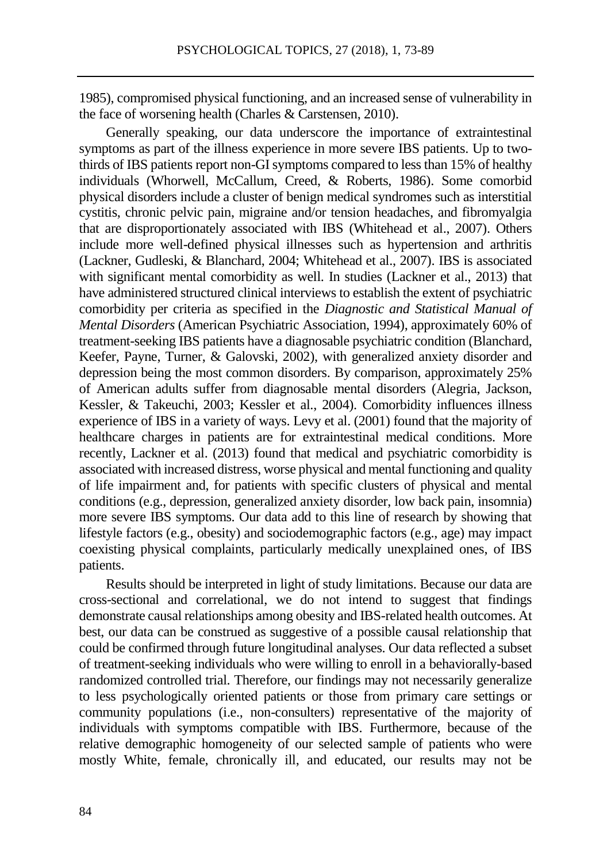1985), compromised physical functioning, and an increased sense of vulnerability in the face of worsening health (Charles & Carstensen, 2010).

Generally speaking, our data underscore the importance of extraintestinal symptoms as part of the illness experience in more severe IBS patients. Up to twothirds of IBS patients report non-GI symptoms compared to less than 15% of healthy individuals (Whorwell, McCallum, Creed, & Roberts, 1986). Some comorbid physical disorders include a cluster of benign medical syndromes such as interstitial cystitis, chronic pelvic pain, migraine and/or tension headaches, and fibromyalgia that are disproportionately associated with IBS (Whitehead et al., 2007). Others include more well-defined physical illnesses such as hypertension and arthritis (Lackner, Gudleski, & Blanchard, 2004; Whitehead et al., 2007). IBS is associated with significant mental comorbidity as well. In studies (Lackner et al., 2013) that have administered structured clinical interviews to establish the extent of psychiatric comorbidity per criteria as specified in the *Diagnostic and Statistical Manual of Mental Disorders* (American Psychiatric Association, 1994), approximately 60% of treatment-seeking IBS patients have a diagnosable psychiatric condition (Blanchard, Keefer, Payne, Turner, & Galovski, 2002), with generalized anxiety disorder and depression being the most common disorders. By comparison, approximately 25% of American adults suffer from diagnosable mental disorders (Alegria, Jackson, Kessler, & Takeuchi, 2003; Kessler et al., 2004). Comorbidity influences illness experience of IBS in a variety of ways. Levy et al. (2001) found that the majority of healthcare charges in patients are for extraintestinal medical conditions. More recently, Lackner et al. (2013) found that medical and psychiatric comorbidity is associated with increased distress, worse physical and mental functioning and quality of life impairment and, for patients with specific clusters of physical and mental conditions (e.g., depression, generalized anxiety disorder, low back pain, insomnia) more severe IBS symptoms. Our data add to this line of research by showing that lifestyle factors (e.g., obesity) and sociodemographic factors (e.g., age) may impact coexisting physical complaints, particularly medically unexplained ones, of IBS patients.

Results should be interpreted in light of study limitations. Because our data are cross-sectional and correlational, we do not intend to suggest that findings demonstrate causal relationships among obesity and IBS-related health outcomes. At best, our data can be construed as suggestive of a possible causal relationship that could be confirmed through future longitudinal analyses. Our data reflected a subset of treatment-seeking individuals who were willing to enroll in a behaviorally-based randomized controlled trial. Therefore, our findings may not necessarily generalize to less psychologically oriented patients or those from primary care settings or community populations (i.e., non-consulters) representative of the majority of individuals with symptoms compatible with IBS. Furthermore, because of the relative demographic homogeneity of our selected sample of patients who were mostly White, female, chronically ill, and educated, our results may not be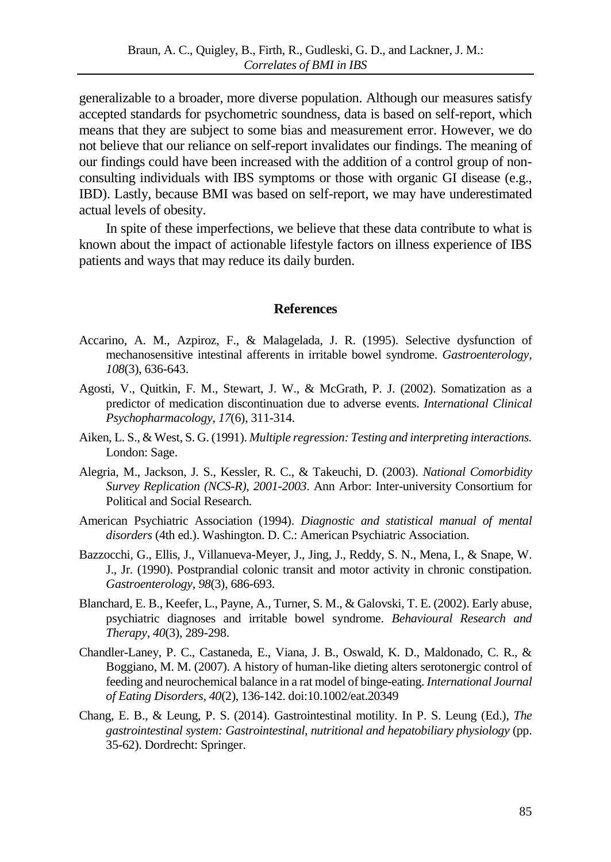generalizable to a broader, more diverse population. Although our measures satisfy accepted standards for psychometric soundness, data is based on self-report, which means that they are subject to some bias and measurement error. However, we do not believe that our reliance on self-report invalidates our findings. The meaning of our findings could have been increased with the addition of a control group of nonconsulting individuals with IBS symptoms or those with organic GI disease (e.g., IBD). Lastly, because BMI was based on self-report, we may have underestimated actual levels of obesity.

In spite of these imperfections, we believe that these data contribute to what is known about the impact of actionable lifestyle factors on illness experience of IBS patients and ways that may reduce its daily burden.

#### **References**

- Accarino, A. M., Azpiroz, F., & Malagelada, J. R. (1995). Selective dysfunction of mechanosensitive intestinal afferents in irritable bowel syndrome. *Gastroenterology, 108*(3), 636-643.
- Agosti, V., Quitkin, F. M., Stewart, J. W., & McGrath, P. J. (2002). Somatization as a predictor of medication discontinuation due to adverse events. *International Clinical Psychopharmacology, 17*(6), 311-314.
- Aiken, L. S., & West, S. G. (1991). *Multiple regression: Testing and interpreting interactions.* London: Sage.
- Alegria, M., Jackson, J. S., Kessler, R. C., & Takeuchi, D. (2003). *National Comorbidity Survey Replication (NCS-R), 2001-2003*. Ann Arbor: Inter-university Consortium for Political and Social Research.
- American Psychiatric Association (1994). *Diagnostic and statistical manual of mental disorders* (4th ed.). Washington. D. C.: American Psychiatric Association.
- Bazzocchi, G., Ellis, J., Villanueva-Meyer, J., Jing, J., Reddy, S. N., Mena, I., & Snape, W. J., Jr. (1990). Postprandial colonic transit and motor activity in chronic constipation. *Gastroenterology, 98*(3), 686-693.
- Blanchard, E. B., Keefer, L., Payne, A., Turner, S. M., & Galovski, T. E. (2002). Early abuse, psychiatric diagnoses and irritable bowel syndrome. *Behavioural Research and Therapy, 40*(3), 289-298.
- Chandler-Laney, P. C., Castaneda, E., Viana, J. B., Oswald, K. D., Maldonado, C. R., & Boggiano, M. M. (2007). A history of human-like dieting alters serotonergic control of feeding and neurochemical balance in a rat model of binge-eating. *International Journal of Eating Disorders, 40*(2), 136-142. doi:10.1002/eat.20349
- Chang, E. B., & Leung, P. S. (2014). Gastrointestinal motility. In P. S. Leung (Ed.), *The gastrointestinal system: Gastrointestinal, nutritional and hepatobiliary physiology* (pp. 35-62). Dordrecht: Springer.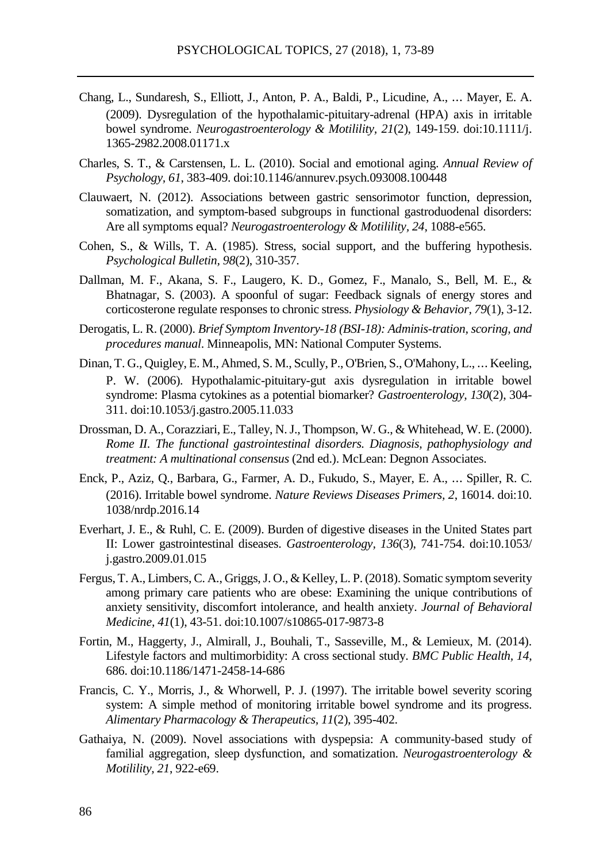- Chang, L., Sundaresh, S., Elliott, J., Anton, P. A., Baldi, P., Licudine, A., ⋯ Mayer, E. A. (2009). Dysregulation of the hypothalamic-pituitary-adrenal (HPA) axis in irritable bowel syndrome. *Neurogastroenterology & Motilility, 21*(2), 149-159. doi:10.1111/j. 1365-2982.2008.01171.x
- Charles, S. T., & Carstensen, L. L. (2010). Social and emotional aging. *Annual Review of Psychology, 61*, 383-409. doi:10.1146/annurev.psych.093008.100448
- Clauwaert, N. (2012). Associations between gastric sensorimotor function, depression, somatization, and symptom-based subgroups in functional gastroduodenal disorders: Are all symptoms equal? *Neurogastroenterology & Motilility, 24*, 1088-e565.
- Cohen, S., & Wills, T. A. (1985). Stress, social support, and the buffering hypothesis. *Psychological Bulletin, 98*(2), 310-357.
- Dallman, M. F., Akana, S. F., Laugero, K. D., Gomez, F., Manalo, S., Bell, M. E., & Bhatnagar, S. (2003). A spoonful of sugar: Feedback signals of energy stores and corticosterone regulate responses to chronic stress. *Physiology & Behavior, 79*(1), 3-12.
- Derogatis, L. R. (2000). *Brief Symptom Inventory-18 (BSI-18): Adminis-tration, scoring, and procedures manual*. Minneapolis, MN: National Computer Systems.
- Dinan, T. G., Quigley, E. M., Ahmed, S. M., Scully, P., O'Brien, S., O'Mahony, L., ⋯ Keeling, P. W. (2006). Hypothalamic-pituitary-gut axis dysregulation in irritable bowel syndrome: Plasma cytokines as a potential biomarker? *Gastroenterology, 130*(2), 304- 311. doi:10.1053/j.gastro.2005.11.033
- Drossman, D. A., Corazziari, E., Talley, N. J., Thompson, W. G., & Whitehead, W. E. (2000). *Rome II. The functional gastrointestinal disorders. Diagnosis, pathophysiology and treatment: A multinational consensus* (2nd ed.). McLean: Degnon Associates.
- Enck, P., Aziz, Q., Barbara, G., Farmer, A. D., Fukudo, S., Mayer, E. A., ⋯ Spiller, R. C. (2016). Irritable bowel syndrome. *Nature Reviews Diseases Primers, 2*, 16014. doi:10. 1038/nrdp.2016.14
- Everhart, J. E., & Ruhl, C. E. (2009). Burden of digestive diseases in the United States part II: Lower gastrointestinal diseases. *Gastroenterology, 136*(3), 741-754. doi:10.1053/ j.gastro.2009.01.015
- Fergus, T. A., Limbers, C. A., Griggs, J. O., & Kelley, L. P. (2018). Somatic symptom severity among primary care patients who are obese: Examining the unique contributions of anxiety sensitivity, discomfort intolerance, and health anxiety. *Journal of Behavioral Medicine, 41*(1), 43-51. doi:10.1007/s10865-017-9873-8
- Fortin, M., Haggerty, J., Almirall, J., Bouhali, T., Sasseville, M., & Lemieux, M. (2014). Lifestyle factors and multimorbidity: A cross sectional study. *BMC Public Health, 14*, 686. doi:10.1186/1471-2458-14-686
- Francis, C. Y., Morris, J., & Whorwell, P. J. (1997). The irritable bowel severity scoring system: A simple method of monitoring irritable bowel syndrome and its progress. *Alimentary Pharmacology & Therapeutics, 11*(2), 395-402.
- Gathaiya, N. (2009). Novel associations with dyspepsia: A community-based study of familial aggregation, sleep dysfunction, and somatization. *Neurogastroenterology & Motilility, 21*, 922-e69.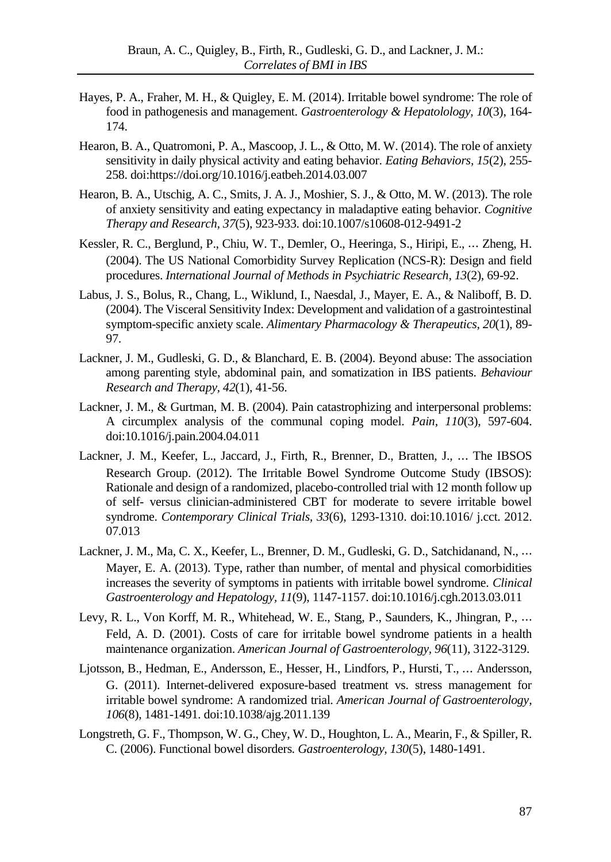- Hayes, P. A., Fraher, M. H., & Quigley, E. M. (2014). Irritable bowel syndrome: The role of food in pathogenesis and management. *Gastroenterology & Hepatolology, 10*(3), 164- 174.
- Hearon, B. A., Quatromoni, P. A., Mascoop, J. L., & Otto, M. W. (2014). The role of anxiety sensitivity in daily physical activity and eating behavior. *Eating Behaviors, 15*(2), 255- 258. doi:https://doi.org/10.1016/j.eatbeh.2014.03.007
- Hearon, B. A., Utschig, A. C., Smits, J. A. J., Moshier, S. J., & Otto, M. W. (2013). The role of anxiety sensitivity and eating expectancy in maladaptive eating behavior. *Cognitive Therapy and Research, 37*(5), 923-933. doi:10.1007/s10608-012-9491-2
- Kessler, R. C., Berglund, P., Chiu, W. T., Demler, O., Heeringa, S., Hiripi, E., ⋯ Zheng, H. (2004). The US National Comorbidity Survey Replication (NCS-R): Design and field procedures. *International Journal of Methods in Psychiatric Research, 13*(2), 69-92.
- Labus, J. S., Bolus, R., Chang, L., Wiklund, I., Naesdal, J., Mayer, E. A., & Naliboff, B. D. (2004). The Visceral Sensitivity Index: Development and validation of a gastrointestinal symptom-specific anxiety scale. *Alimentary Pharmacology & Therapeutics, 20*(1), 89- 97.
- Lackner, J. M., Gudleski, G. D., & Blanchard, E. B. (2004). Beyond abuse: The association among parenting style, abdominal pain, and somatization in IBS patients. *Behaviour Research and Therapy, 42*(1), 41-56.
- Lackner, J. M., & Gurtman, M. B. (2004). Pain catastrophizing and interpersonal problems: A circumplex analysis of the communal coping model. *Pain, 110*(3), 597-604. doi:10.1016/j.pain.2004.04.011
- Lackner, J. M., Keefer, L., Jaccard, J., Firth, R., Brenner, D., Bratten, J., ⋯ The IBSOS Research Group. (2012). The Irritable Bowel Syndrome Outcome Study (IBSOS): Rationale and design of a randomized, placebo-controlled trial with 12 month follow up of self- versus clinician-administered CBT for moderate to severe irritable bowel syndrome. *Contemporary Clinical Trials, 33*(6), 1293-1310. doi:10.1016/ j.cct. 2012. 07.013
- Lackner, J. M., Ma, C. X., Keefer, L., Brenner, D. M., Gudleski, G. D., Satchidanand, N., ... Mayer, E. A. (2013). Type, rather than number, of mental and physical comorbidities increases the severity of symptoms in patients with irritable bowel syndrome. *Clinical Gastroenterology and Hepatology, 11*(9), 1147-1157. doi:10.1016/j.cgh.2013.03.011
- Levy, R. L., Von Korff, M. R., Whitehead, W. E., Stang, P., Saunders, K., Jhingran, P., ... Feld, A. D. (2001). Costs of care for irritable bowel syndrome patients in a health maintenance organization. *American Journal of Gastroenterology, 96*(11), 3122-3129.
- Ljotsson, B., Hedman, E., Andersson, E., Hesser, H., Lindfors, P., Hursti, T., ⋯ Andersson, G. (2011). Internet-delivered exposure-based treatment vs. stress management for irritable bowel syndrome: A randomized trial. *American Journal of Gastroenterology, 106*(8), 1481-1491. doi:10.1038/ajg.2011.139
- Longstreth, G. F., Thompson, W. G., Chey, W. D., Houghton, L. A., Mearin, F., & Spiller, R. C. (2006). Functional bowel disorders. *Gastroenterology, 130*(5), 1480-1491.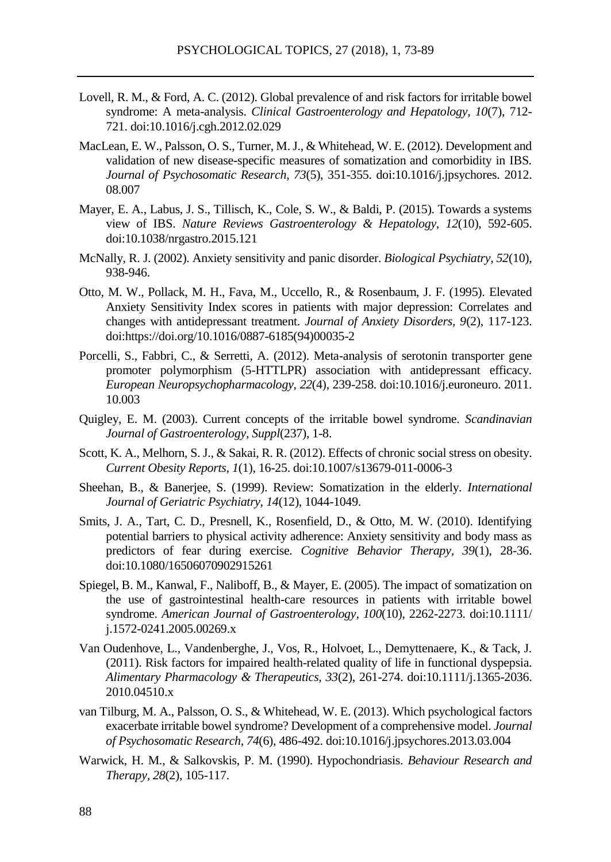- Lovell, R. M., & Ford, A. C. (2012). Global prevalence of and risk factors for irritable bowel syndrome: A meta-analysis. *Clinical Gastroenterology and Hepatology, 10*(7), 712- 721. doi:10.1016/j.cgh.2012.02.029
- MacLean, E. W., Palsson, O. S., Turner, M. J., & Whitehead, W. E. (2012). Development and validation of new disease-specific measures of somatization and comorbidity in IBS. *Journal of Psychosomatic Research, 73*(5), 351-355. doi:10.1016/j.jpsychores. 2012. 08.007
- Mayer, E. A., Labus, J. S., Tillisch, K., Cole, S. W., & Baldi, P. (2015). Towards a systems view of IBS. *Nature Reviews Gastroenterology & Hepatology, 12*(10), 592-605. doi:10.1038/nrgastro.2015.121
- McNally, R. J. (2002). Anxiety sensitivity and panic disorder. *Biological Psychiatry, 52*(10), 938-946.
- Otto, M. W., Pollack, M. H., Fava, M., Uccello, R., & Rosenbaum, J. F. (1995). Elevated Anxiety Sensitivity Index scores in patients with major depression: Correlates and changes with antidepressant treatment. *Journal of Anxiety Disorders, 9*(2), 117-123. doi:https://doi.org/10.1016/0887-6185(94)00035-2
- Porcelli, S., Fabbri, C., & Serretti, A. (2012). Meta-analysis of serotonin transporter gene promoter polymorphism (5-HTTLPR) association with antidepressant efficacy. *European Neuropsychopharmacology, 22*(4), 239-258. doi:10.1016/j.euroneuro. 2011. 10.003
- Quigley, E. M. (2003). Current concepts of the irritable bowel syndrome. *Scandinavian Journal of Gastroenterology, Suppl*(237), 1-8.
- Scott, K. A., Melhorn, S. J., & Sakai, R. R. (2012). Effects of chronic social stress on obesity. *Current Obesity Reports, 1*(1), 16-25. doi:10.1007/s13679-011-0006-3
- Sheehan, B., & Banerjee, S. (1999). Review: Somatization in the elderly. *International Journal of Geriatric Psychiatry, 14*(12), 1044-1049.
- Smits, J. A., Tart, C. D., Presnell, K., Rosenfield, D., & Otto, M. W. (2010). Identifying potential barriers to physical activity adherence: Anxiety sensitivity and body mass as predictors of fear during exercise. *Cognitive Behavior Therapy, 39*(1), 28-36. doi:10.1080/16506070902915261
- Spiegel, B. M., Kanwal, F., Naliboff, B., & Mayer, E. (2005). The impact of somatization on the use of gastrointestinal health-care resources in patients with irritable bowel syndrome. *American Journal of Gastroenterology, 100*(10), 2262-2273. doi:10.1111/ j.1572-0241.2005.00269.x
- Van Oudenhove, L., Vandenberghe, J., Vos, R., Holvoet, L., Demyttenaere, K., & Tack, J. (2011). Risk factors for impaired health-related quality of life in functional dyspepsia. *Alimentary Pharmacology & Therapeutics, 33*(2), 261-274. doi:10.1111/j.1365-2036. 2010.04510.x
- van Tilburg, M. A., Palsson, O. S., & Whitehead, W. E. (2013). Which psychological factors exacerbate irritable bowel syndrome? Development of a comprehensive model. *Journal of Psychosomatic Research, 74*(6), 486-492. doi:10.1016/j.jpsychores.2013.03.004
- Warwick, H. M., & Salkovskis, P. M. (1990). Hypochondriasis. *Behaviour Research and Therapy, 28*(2), 105-117.